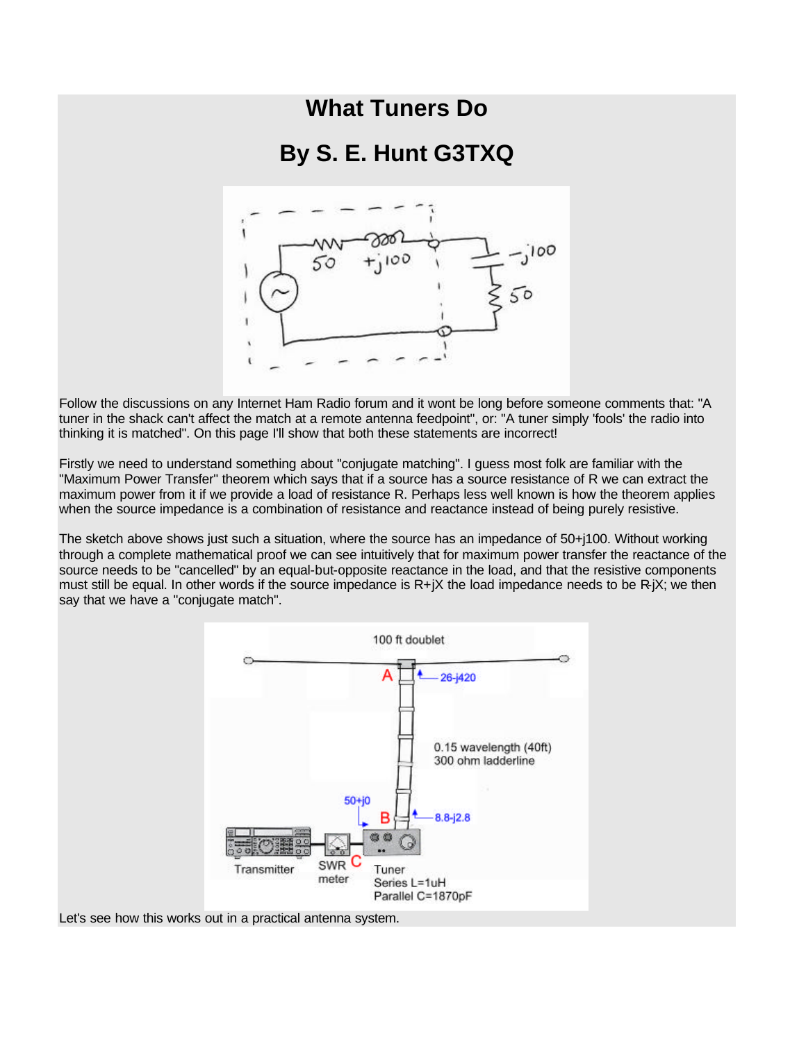## **What Tuners Do**

## **By S. E. Hunt G3TXQ**



Follow the discussions on any Internet Ham Radio forum and it wont be long before someone comments that: "A tuner in the shack can't affect the match at a remote antenna feedpoint", or: "A tuner simply 'fools' the radio into thinking it is matched". On this page I'll show that both these statements are incorrect!

Firstly we need to understand something about "conjugate matching". I guess most folk are familiar with the "Maximum Power Transfer" theorem which says that if a source has a source resistance of R we can extract the maximum power from it if we provide a load of resistance R. Perhaps less well known is how the theorem applies when the source impedance is a combination of resistance and reactance instead of being purely resistive.

The sketch above shows just such a situation, where the source has an impedance of 50+j100. Without working through a complete mathematical proof we can see intuitively that for maximum power transfer the reactance of the source needs to be "cancelled" by an equal-but-opposite reactance in the load, and that the resistive components must still be equal. In other words if the source impedance is  $R+jX$  the load impedance needs to be  $R+jX$ ; we then say that we have a "conjugate match".



Let's see how this works out in a practical antenna system.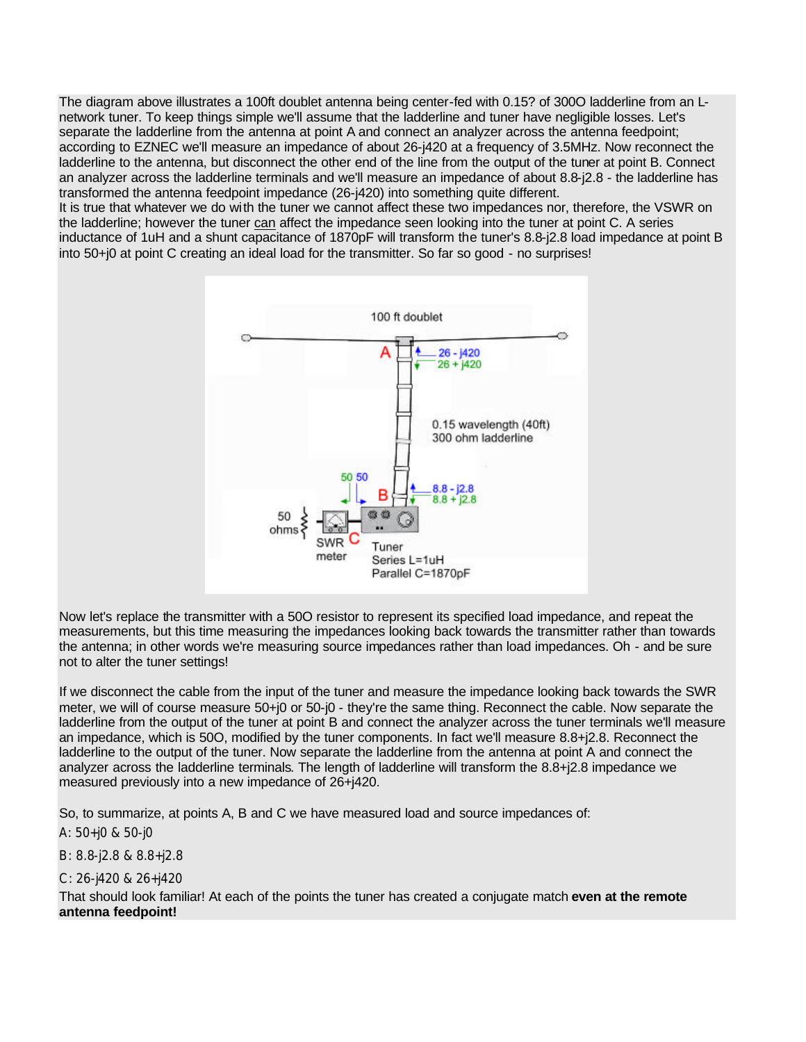The diagram above illustrates a 100ft doublet antenna being center-fed with 0.15? of 300O ladderline from an Lnetwork tuner. To keep things simple we'll assume that the ladderline and tuner have negligible losses. Let's separate the ladderline from the antenna at point A and connect an analyzer across the antenna feedpoint; according to EZNEC we'll measure an impedance of about 26-j420 at a frequency of 3.5MHz. Now reconnect the ladderline to the antenna, but disconnect the other end of the line from the output of the tuner at point B. Connect an analyzer across the ladderline terminals and we'll measure an impedance of about 8.8-j2.8 - the ladderline has transformed the antenna feedpoint impedance (26-j420) into something quite different. It is true that whatever we do with the tuner we cannot affect these two impedances nor, therefore, the VSWR on

the ladderline; however the tuner can affect the impedance seen looking into the tuner at point C. A series inductance of 1uH and a shunt capacitance of 1870pF will transform the tuner's 8.8-j2.8 load impedance at point B into 50+j0 at point C creating an ideal load for the transmitter. So far so good - no surprises!



Now let's replace the transmitter with a 50O resistor to represent its specified load impedance, and repeat the measurements, but this time measuring the impedances looking back towards the transmitter rather than towards the antenna; in other words we're measuring source impedances rather than load impedances. Oh - and be sure not to alter the tuner settings!

If we disconnect the cable from the input of the tuner and measure the impedance looking back towards the SWR meter, we will of course measure 50+j0 or 50-j0 - they're the same thing. Reconnect the cable. Now separate the ladderline from the output of the tuner at point B and connect the analyzer across the tuner terminals we'll measure an impedance, which is 50O, modified by the tuner components. In fact we'll measure 8.8+j2.8. Reconnect the ladderline to the output of the tuner. Now separate the ladderline from the antenna at point A and connect the analyzer across the ladderline terminals. The length of ladderline will transform the 8.8+j2.8 impedance we measured previously into a new impedance of 26+j420.

So, to summarize, at points A, B and C we have measured load and source impedances of:

A: 50+j0 & 50-j0

B: 8.8-j2.8 & 8.8+j2.8

C: 26-j420 & 26+j420

That should look familiar! At each of the points the tuner has created a conjugate match **even at the remote antenna feedpoint!**